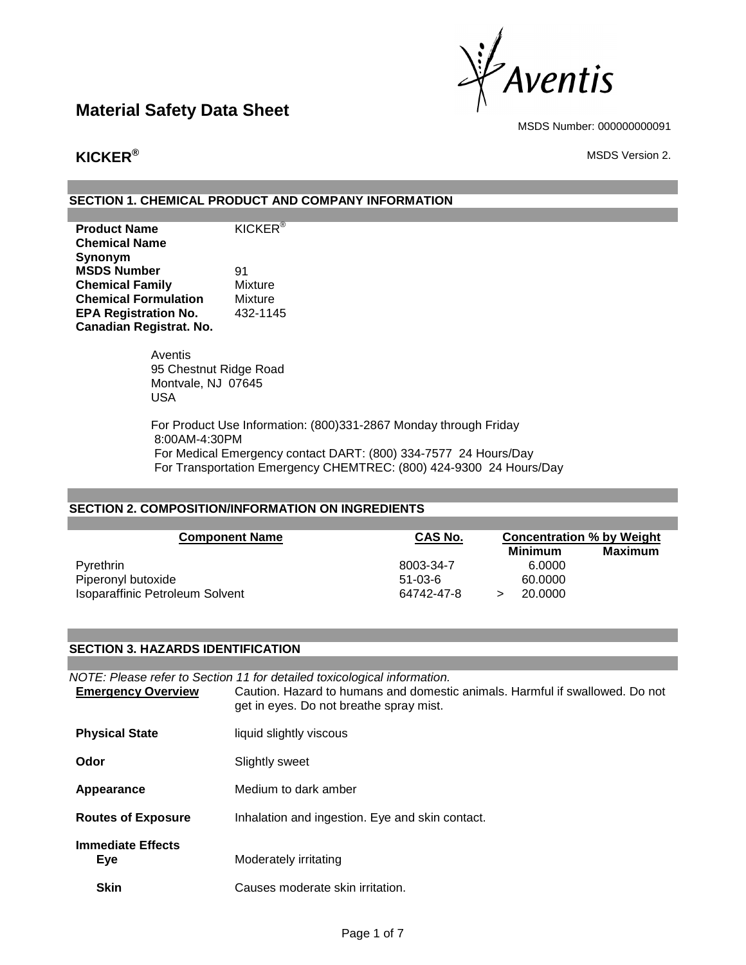

MSDS Number: 000000000091

**KICKER** $^\circ$  MSDS Version 2.

### **SECTION 1. CHEMICAL PRODUCT AND COMPANY INFORMATION**

| <b>Product Name</b>            | <b>KICKER®</b> |
|--------------------------------|----------------|
| <b>Chemical Name</b>           |                |
| Synonym                        |                |
| <b>MSDS Number</b>             | 91             |
| <b>Chemical Family</b>         | Mixture        |
| <b>Chemical Formulation</b>    | Mixture        |
| <b>EPA Registration No.</b>    | 432-1145       |
| <b>Canadian Registrat. No.</b> |                |

Aventis 95 Chestnut Ridge Road Montvale, NJ 07645 USA

For Product Use Information: (800)331-2867 Monday through Friday 8:00AM-4:30PM For Medical Emergency contact DART: (800) 334-7577 24 Hours/Day For Transportation Emergency CHEMTREC: (800) 424-9300 24 Hours/Day

### **SECTION 2. COMPOSITION/INFORMATION ON INGREDIENTS**

| <b>Component Name</b>           | <b>CAS No.</b> | <b>Concentration % by Weight</b><br>Maximum<br><b>Minimum</b> |  |
|---------------------------------|----------------|---------------------------------------------------------------|--|
| <b>P</b> vrethrin               | 8003-34-7      | 6.0000                                                        |  |
| Piperonyl butoxide              | $51 - 03 - 6$  | 60.0000                                                       |  |
| Isoparaffinic Petroleum Solvent | 64742-47-8     | 20,0000                                                       |  |

#### **SECTION 3. HAZARDS IDENTIFICATION**

| <b>Emergency Overview</b>       | NOTE: Please refer to Section 11 for detailed toxicological information.<br>Caution. Hazard to humans and domestic animals. Harmful if swallowed. Do not<br>get in eyes. Do not breathe spray mist. |
|---------------------------------|-----------------------------------------------------------------------------------------------------------------------------------------------------------------------------------------------------|
| <b>Physical State</b>           | liquid slightly viscous                                                                                                                                                                             |
| Odor                            | Slightly sweet                                                                                                                                                                                      |
| Appearance                      | Medium to dark amber                                                                                                                                                                                |
| <b>Routes of Exposure</b>       | Inhalation and ingestion. Eye and skin contact.                                                                                                                                                     |
| <b>Immediate Effects</b><br>Eye | Moderately irritating                                                                                                                                                                               |
| <b>Skin</b>                     | Causes moderate skin irritation.                                                                                                                                                                    |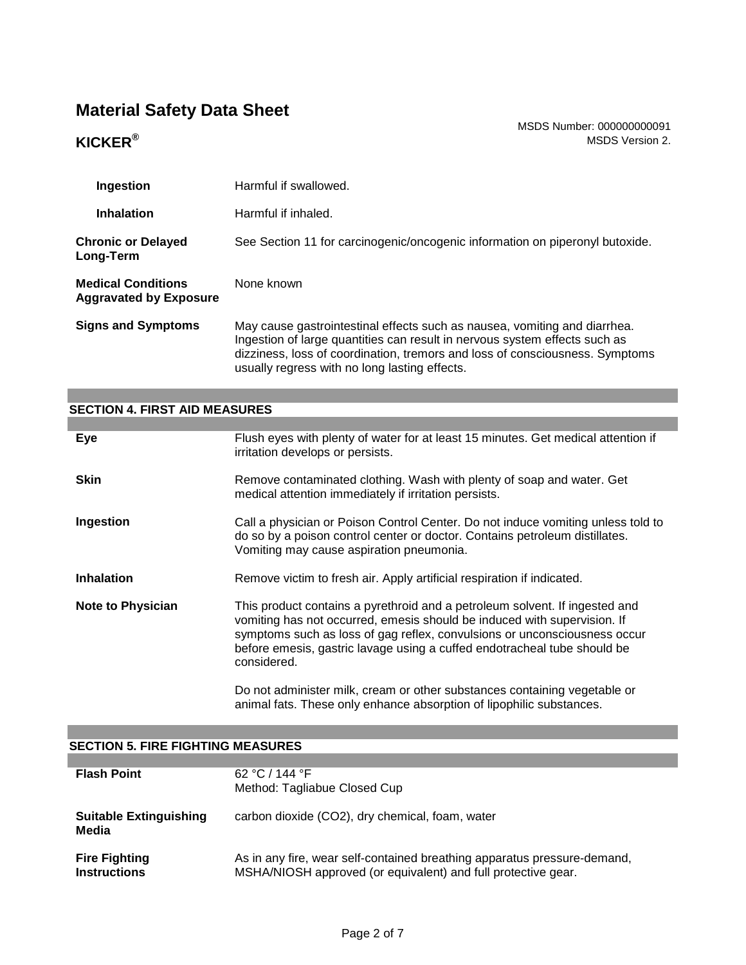MSDS Number: 000000000091 **KICKER<sup>®</sup>** MSDS Version 2.

| Ingestion                                                  | Harmful if swallowed.                                                                                                                                                                                                                                                                    |
|------------------------------------------------------------|------------------------------------------------------------------------------------------------------------------------------------------------------------------------------------------------------------------------------------------------------------------------------------------|
| <b>Inhalation</b>                                          | Harmful if inhaled.                                                                                                                                                                                                                                                                      |
| <b>Chronic or Delayed</b><br>Long-Term                     | See Section 11 for carcinogenic/oncogenic information on piperonyl butoxide.                                                                                                                                                                                                             |
| <b>Medical Conditions</b><br><b>Aggravated by Exposure</b> | None known                                                                                                                                                                                                                                                                               |
| <b>Signs and Symptoms</b>                                  | May cause gastrointestinal effects such as nausea, vomiting and diarrhea.<br>Ingestion of large quantities can result in nervous system effects such as<br>dizziness, loss of coordination, tremors and loss of consciousness. Symptoms<br>usually regress with no long lasting effects. |

### **SECTION 4. FIRST AID MEASURES**

| Eye                      | Flush eyes with plenty of water for at least 15 minutes. Get medical attention if<br>irritation develops or persists.                                                                                                                                                                                                           |
|--------------------------|---------------------------------------------------------------------------------------------------------------------------------------------------------------------------------------------------------------------------------------------------------------------------------------------------------------------------------|
| <b>Skin</b>              | Remove contaminated clothing. Wash with plenty of soap and water. Get<br>medical attention immediately if irritation persists.                                                                                                                                                                                                  |
| Ingestion                | Call a physician or Poison Control Center. Do not induce vomiting unless told to<br>do so by a poison control center or doctor. Contains petroleum distillates.<br>Vomiting may cause aspiration pneumonia.                                                                                                                     |
| <b>Inhalation</b>        | Remove victim to fresh air. Apply artificial respiration if indicated.                                                                                                                                                                                                                                                          |
| <b>Note to Physician</b> | This product contains a pyrethroid and a petroleum solvent. If ingested and<br>vomiting has not occurred, emesis should be induced with supervision. If<br>symptoms such as loss of gag reflex, convulsions or unconsciousness occur<br>before emesis, gastric lavage using a cuffed endotracheal tube should be<br>considered. |
|                          |                                                                                                                                                                                                                                                                                                                                 |

### **SECTION 5. FIRE FIGHTING MEASURES**

| <b>Flash Point</b>                          | 62 °C / 144 °F<br>Method: Tagliabue Closed Cup                                                                                            |
|---------------------------------------------|-------------------------------------------------------------------------------------------------------------------------------------------|
| <b>Suitable Extinguishing</b><br>Media      | carbon dioxide (CO2), dry chemical, foam, water                                                                                           |
| <b>Fire Fighting</b><br><b>Instructions</b> | As in any fire, wear self-contained breathing apparatus pressure-demand,<br>MSHA/NIOSH approved (or equivalent) and full protective gear. |

animal fats. These only enhance absorption of lipophilic substances.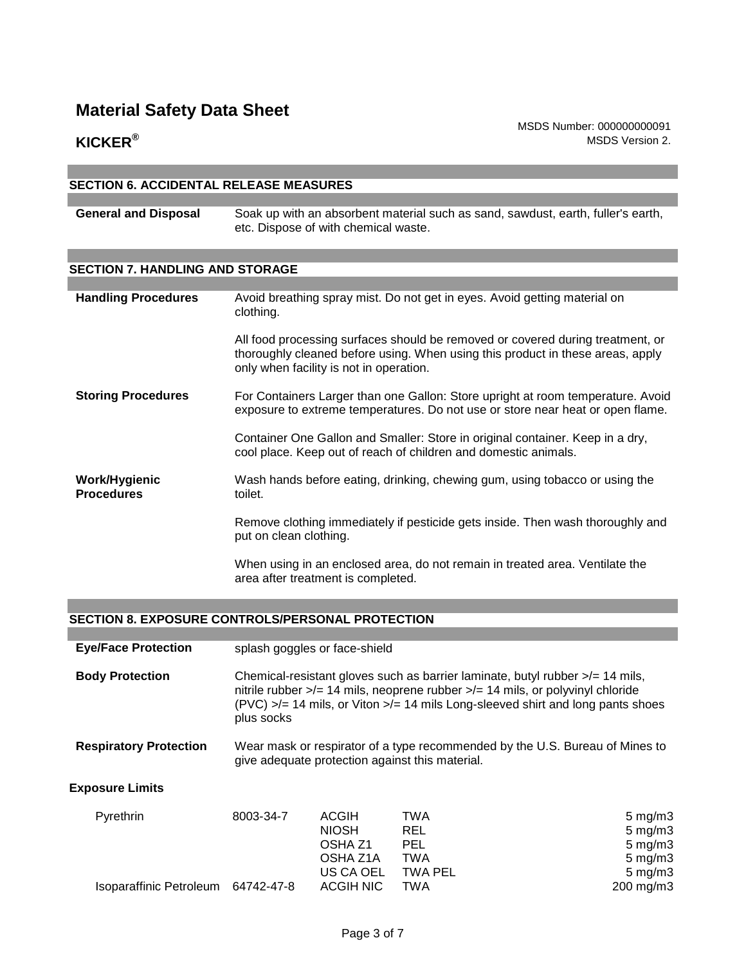MSDS Number: 000000000091 **KICKER<sup>®</sup>** MSDS Version 2.

#### **SECTION 6. ACCIDENTAL RELEASE MEASURES**

**General and Disposal** Soak up with an absorbent material such as sand, sawdust, earth, fuller's earth, etc. Dispose of with chemical waste.

#### **SECTION 7. HANDLING AND STORAGE**

| <b>Handling Procedures</b>                | Avoid breathing spray mist. Do not get in eyes. Avoid getting material on<br>clothing.                                                                                                                      |
|-------------------------------------------|-------------------------------------------------------------------------------------------------------------------------------------------------------------------------------------------------------------|
|                                           | All food processing surfaces should be removed or covered during treatment, or<br>thoroughly cleaned before using. When using this product in these areas, apply<br>only when facility is not in operation. |
| <b>Storing Procedures</b>                 | For Containers Larger than one Gallon: Store upright at room temperature. Avoid<br>exposure to extreme temperatures. Do not use or store near heat or open flame.                                           |
|                                           | Container One Gallon and Smaller: Store in original container. Keep in a dry,<br>cool place. Keep out of reach of children and domestic animals.                                                            |
| <b>Work/Hygienic</b><br><b>Procedures</b> | Wash hands before eating, drinking, chewing gum, using tobacco or using the<br>toilet.                                                                                                                      |
|                                           | Remove clothing immediately if pesticide gets inside. Then wash thoroughly and<br>put on clean clothing.                                                                                                    |
|                                           | When using in an enclosed area, do not remain in treated area. Ventilate the                                                                                                                                |

### **SECTION 8. EXPOSURE CONTROLS/PERSONAL PROTECTION**

| <b>Eye/Face Protection</b>    |                                                                                                                                                                                                                                                                                              | splash goggles or face-shield                                  |                                                      |                                                                                    |
|-------------------------------|----------------------------------------------------------------------------------------------------------------------------------------------------------------------------------------------------------------------------------------------------------------------------------------------|----------------------------------------------------------------|------------------------------------------------------|------------------------------------------------------------------------------------|
| <b>Body Protection</b>        | Chemical-resistant gloves such as barrier laminate, butyl rubber $\lambda = 14$ mils,<br>nitrile rubber $\frac{1}{2}$ 14 mils, neoprene rubber $\frac{1}{2}$ 14 mils, or polyvinyl chloride<br>(PVC) >/= 14 mils, or Viton >/= 14 mils Long-sleeved shirt and long pants shoes<br>plus socks |                                                                |                                                      |                                                                                    |
| <b>Respiratory Protection</b> | Wear mask or respirator of a type recommended by the U.S. Bureau of Mines to<br>give adequate protection against this material.                                                                                                                                                              |                                                                |                                                      |                                                                                    |
| <b>Exposure Limits</b>        |                                                                                                                                                                                                                                                                                              |                                                                |                                                      |                                                                                    |
| Pyrethrin                     | 8003-34-7                                                                                                                                                                                                                                                                                    | <b>ACGIH</b><br><b>NIOSH</b><br>OSHA <sub>Z1</sub><br>OSHA Z1A | <b>TWA</b><br><b>REL</b><br><b>PEL</b><br><b>TWA</b> | $5 \text{ mg/m}$ 3<br>$5 \text{ mg/m}$ 3<br>$5 \text{ mg/m}$ 3<br>$5 \text{ mg/m}$ |

OSHA Z1A TWA 5 mg/m3 US CA OEL TWA PEL Isoparaffinic Petroleum 64742-47-8 ACGIH NIC TWA 200 mg/m3

area after treatment is completed.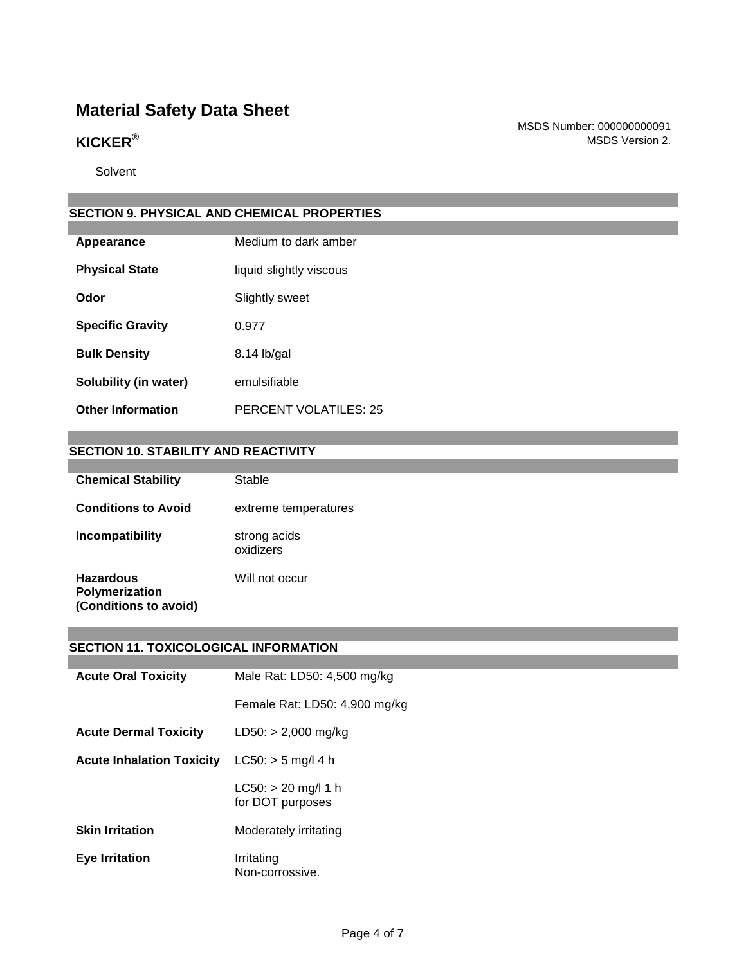MSDS Number: 000000000091 **KICKER<sup>®</sup>** MSDS Version 2.

Solvent

### **SECTION 9. PHYSICAL AND CHEMICAL PROPERTIES**

| Appearance               | Medium to dark amber         |
|--------------------------|------------------------------|
| <b>Physical State</b>    | liquid slightly viscous      |
| Odor                     | Slightly sweet               |
| <b>Specific Gravity</b>  | 0.977                        |
| <b>Bulk Density</b>      | 8.14 lb/gal                  |
| Solubility (in water)    | emulsifiable                 |
| <b>Other Information</b> | <b>PERCENT VOLATILES: 25</b> |

#### **SECTION 10. STABILITY AND REACTIVITY**

| <b>Chemical Stability</b>                                   | Stable                    |
|-------------------------------------------------------------|---------------------------|
| <b>Conditions to Avoid</b>                                  | extreme temperatures      |
| Incompatibility                                             | strong acids<br>oxidizers |
| <b>Hazardous</b><br>Polymerization<br>(Conditions to avoid) | Will not occur            |

#### **SECTION 11. TOXICOLOGICAL INFORMATION**

| <b>Acute Oral Toxicity</b>       | Male Rat: LD50: 4,500 mg/kg               |
|----------------------------------|-------------------------------------------|
|                                  | Female Rat: LD50: 4,900 mg/kg             |
| <b>Acute Dermal Toxicity</b>     | $LD50: > 2,000$ mg/kg                     |
| <b>Acute Inhalation Toxicity</b> | $LC50:$ > 5 mg/l 4 h                      |
|                                  | $LC50: > 20$ mg/l 1 h<br>for DOT purposes |
| <b>Skin Irritation</b>           | Moderately irritating                     |
| <b>Eye Irritation</b>            | Irritating<br>Non-corrossive.             |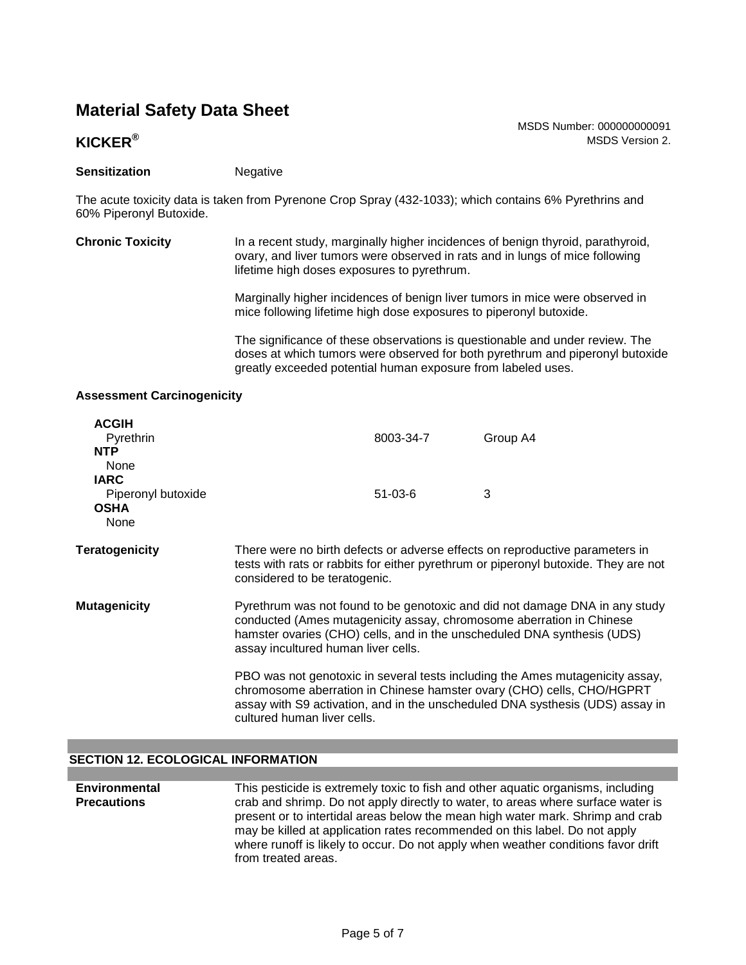### **KICKER<sup>®</sup>** MSDS Version 2.

#### **Sensitization** Negative

The acute toxicity data is taken from Pyrenone Crop Spray (432-1033); which contains 6% Pyrethrins and 60% Piperonyl Butoxide.

**Chronic Toxicity** In a recent study, marginally higher incidences of benign thyroid, parathyroid, ovary, and liver tumors were observed in rats and in lungs of mice following lifetime high doses exposures to pyrethrum.

> Marginally higher incidences of benign liver tumors in mice were observed in mice following lifetime high dose exposures to piperonyl butoxide.

The significance of these observations is questionable and under review. The doses at which tumors were observed for both pyrethrum and piperonyl butoxide greatly exceeded potential human exposure from labeled uses.

MSDS Number: 000000000091

#### **Assessment Carcinogenicity**

| <b>ACGIH</b><br>Pyrethrin<br><b>NTP</b>                          |                                                                                                                                                                                                                                                                       | 8003-34-7     | Group A4                                                                                                                                                                                                                                |
|------------------------------------------------------------------|-----------------------------------------------------------------------------------------------------------------------------------------------------------------------------------------------------------------------------------------------------------------------|---------------|-----------------------------------------------------------------------------------------------------------------------------------------------------------------------------------------------------------------------------------------|
| None<br><b>IARC</b><br>Piperonyl butoxide<br><b>OSHA</b><br>None |                                                                                                                                                                                                                                                                       | $51 - 03 - 6$ | 3                                                                                                                                                                                                                                       |
| <b>Teratogenicity</b>                                            | considered to be teratogenic.                                                                                                                                                                                                                                         |               | There were no birth defects or adverse effects on reproductive parameters in<br>tests with rats or rabbits for either pyrethrum or piperonyl butoxide. They are not                                                                     |
| <b>Mutagenicity</b>                                              | Pyrethrum was not found to be genotoxic and did not damage DNA in any study<br>conducted (Ames mutagenicity assay, chromosome aberration in Chinese<br>hamster ovaries (CHO) cells, and in the unscheduled DNA synthesis (UDS)<br>assay incultured human liver cells. |               |                                                                                                                                                                                                                                         |
|                                                                  | cultured human liver cells.                                                                                                                                                                                                                                           |               | PBO was not genotoxic in several tests including the Ames mutagenicity assay,<br>chromosome aberration in Chinese hamster ovary (CHO) cells, CHO/HGPRT<br>assay with S9 activation, and in the unscheduled DNA systhesis (UDS) assay in |

#### **SECTION 12. ECOLOGICAL INFORMATION**

| <b>Environmental</b> | This pesticide is extremely toxic to fish and other aquatic organisms, including  |
|----------------------|-----------------------------------------------------------------------------------|
| <b>Precautions</b>   | crab and shrimp. Do not apply directly to water, to areas where surface water is  |
|                      | present or to intertidal areas below the mean high water mark. Shrimp and crab    |
|                      | may be killed at application rates recommended on this label. Do not apply        |
|                      | where runoff is likely to occur. Do not apply when weather conditions favor drift |
|                      | from treated areas.                                                               |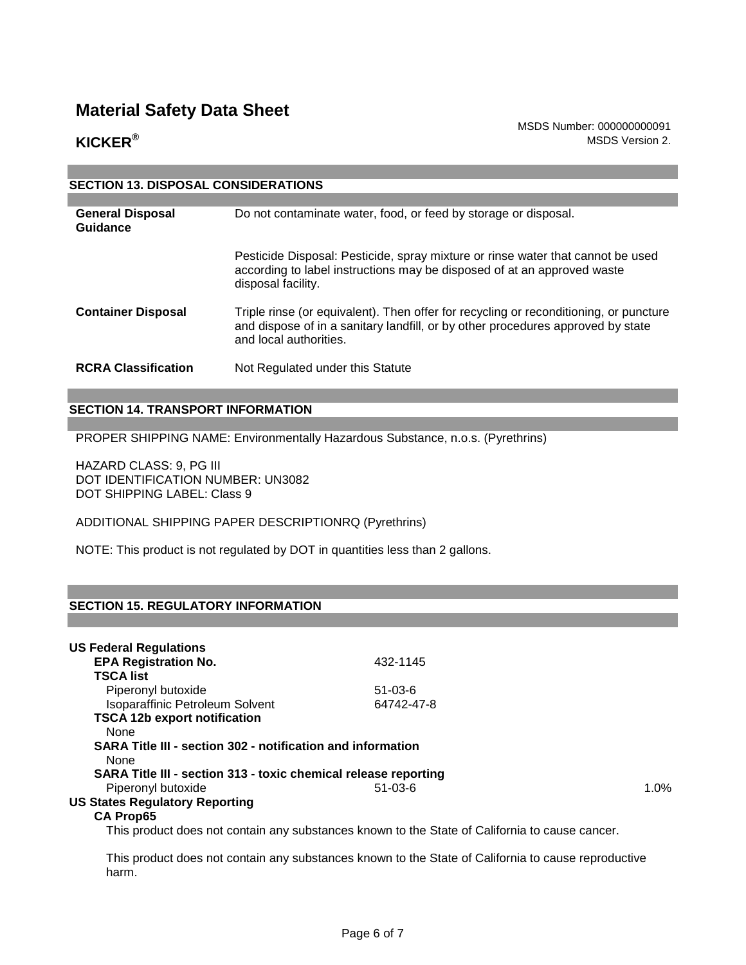MSDS Number: 000000000091 **KICKER<sup>®</sup>** MSDS Version 2.

| <b>SECTION 13. DISPOSAL CONSIDERATIONS</b> |                                                                                                                                                                                                    |  |  |  |  |
|--------------------------------------------|----------------------------------------------------------------------------------------------------------------------------------------------------------------------------------------------------|--|--|--|--|
|                                            |                                                                                                                                                                                                    |  |  |  |  |
| <b>General Disposal</b><br>Guidance        | Do not contaminate water, food, or feed by storage or disposal.                                                                                                                                    |  |  |  |  |
|                                            | Pesticide Disposal: Pesticide, spray mixture or rinse water that cannot be used<br>according to label instructions may be disposed of at an approved waste<br>disposal facility.                   |  |  |  |  |
| <b>Container Disposal</b>                  | Triple rinse (or equivalent). Then offer for recycling or reconditioning, or puncture<br>and dispose of in a sanitary landfill, or by other procedures approved by state<br>and local authorities. |  |  |  |  |
| <b>RCRA Classification</b>                 | Not Regulated under this Statute                                                                                                                                                                   |  |  |  |  |

### **SECTION 14. TRANSPORT INFORMATION**

PROPER SHIPPING NAME: Environmentally Hazardous Substance, n.o.s. (Pyrethrins)

HAZARD CLASS: 9, PG III DOT IDENTIFICATION NUMBER: UN3082 DOT SHIPPING LABEL: Class 9

ADDITIONAL SHIPPING PAPER DESCRIPTIONRQ (Pyrethrins)

NOTE: This product is not regulated by DOT in quantities less than 2 gallons.

### **SECTION 15. REGULATORY INFORMATION**

| <b>US Federal Regulations</b>                                   |            |      |
|-----------------------------------------------------------------|------------|------|
| <b>EPA Registration No.</b>                                     | 432-1145   |      |
| TSCA list                                                       |            |      |
| Piperonyl butoxide                                              | $51-03-6$  |      |
| Isoparaffinic Petroleum Solvent                                 | 64742-47-8 |      |
| <b>TSCA 12b export notification</b>                             |            |      |
| None                                                            |            |      |
| SARA Title III - section 302 - notification and information     |            |      |
| None                                                            |            |      |
| SARA Title III - section 313 - toxic chemical release reporting |            |      |
| Piperonyl butoxide                                              | $51-03-6$  | 1.0% |
| <b>US States Regulatory Reporting</b>                           |            |      |
| <b>CA Prop65</b>                                                |            |      |

This product does not contain any substances known to the State of California to cause cancer.

This product does not contain any substances known to the State of California to cause reproductive harm.